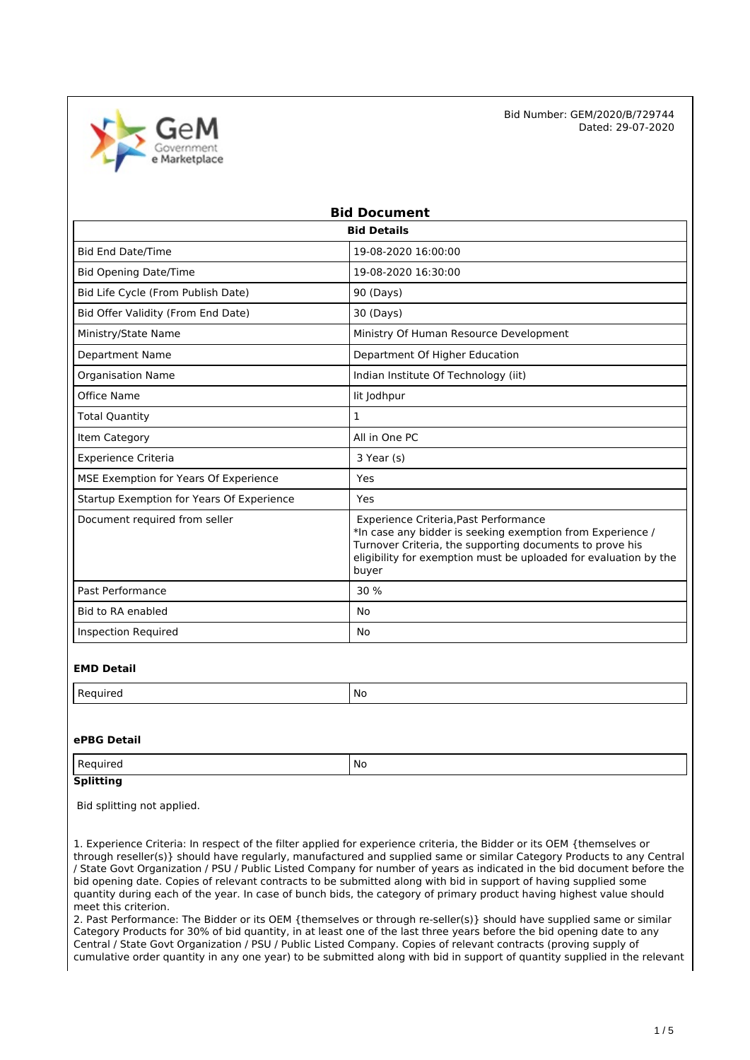

| <b>Bid Document</b>                       |                                                                                                                                                                                                                                              |  |  |
|-------------------------------------------|----------------------------------------------------------------------------------------------------------------------------------------------------------------------------------------------------------------------------------------------|--|--|
| <b>Bid Details</b>                        |                                                                                                                                                                                                                                              |  |  |
| <b>Bid End Date/Time</b>                  | 19-08-2020 16:00:00                                                                                                                                                                                                                          |  |  |
| <b>Bid Opening Date/Time</b>              | 19-08-2020 16:30:00                                                                                                                                                                                                                          |  |  |
| Bid Life Cycle (From Publish Date)        | 90 (Days)                                                                                                                                                                                                                                    |  |  |
| Bid Offer Validity (From End Date)        | 30 (Days)                                                                                                                                                                                                                                    |  |  |
| Ministry/State Name                       | Ministry Of Human Resource Development                                                                                                                                                                                                       |  |  |
| <b>Department Name</b>                    | Department Of Higher Education                                                                                                                                                                                                               |  |  |
| <b>Organisation Name</b>                  | Indian Institute Of Technology (iit)                                                                                                                                                                                                         |  |  |
| Office Name                               | lit Jodhpur                                                                                                                                                                                                                                  |  |  |
| <b>Total Quantity</b>                     | $\mathbf{1}$                                                                                                                                                                                                                                 |  |  |
| Item Category                             | All in One PC                                                                                                                                                                                                                                |  |  |
| <b>Experience Criteria</b>                | 3 Year (s)                                                                                                                                                                                                                                   |  |  |
| MSE Exemption for Years Of Experience     | Yes                                                                                                                                                                                                                                          |  |  |
| Startup Exemption for Years Of Experience | Yes                                                                                                                                                                                                                                          |  |  |
| Document required from seller             | Experience Criteria, Past Performance<br>*In case any bidder is seeking exemption from Experience /<br>Turnover Criteria, the supporting documents to prove his<br>eligibility for exemption must be uploaded for evaluation by the<br>buyer |  |  |
| Past Performance                          | 30 %                                                                                                                                                                                                                                         |  |  |
| Bid to RA enabled                         | No                                                                                                                                                                                                                                           |  |  |
| <b>Inspection Required</b>                | No                                                                                                                                                                                                                                           |  |  |

#### **EMD Detail**

| M. |
|----|
|    |

#### **ePBG Detail**

| Regi<br>⊔rer<br>$\sim$ | No |
|------------------------|----|
|                        |    |

# **Splitting**

Bid splitting not applied.

1. Experience Criteria: In respect of the filter applied for experience criteria, the Bidder or its OEM {themselves or through reseller(s)} should have regularly, manufactured and supplied same or similar Category Products to any Central / State Govt Organization / PSU / Public Listed Company for number of years as indicated in the bid document before the bid opening date. Copies of relevant contracts to be submitted along with bid in support of having supplied some quantity during each of the year. In case of bunch bids, the category of primary product having highest value should meet this criterion.

2. Past Performance: The Bidder or its OEM {themselves or through re-seller(s)} should have supplied same or similar Category Products for 30% of bid quantity, in at least one of the last three years before the bid opening date to any Central / State Govt Organization / PSU / Public Listed Company. Copies of relevant contracts (proving supply of cumulative order quantity in any one year) to be submitted along with bid in support of quantity supplied in the relevant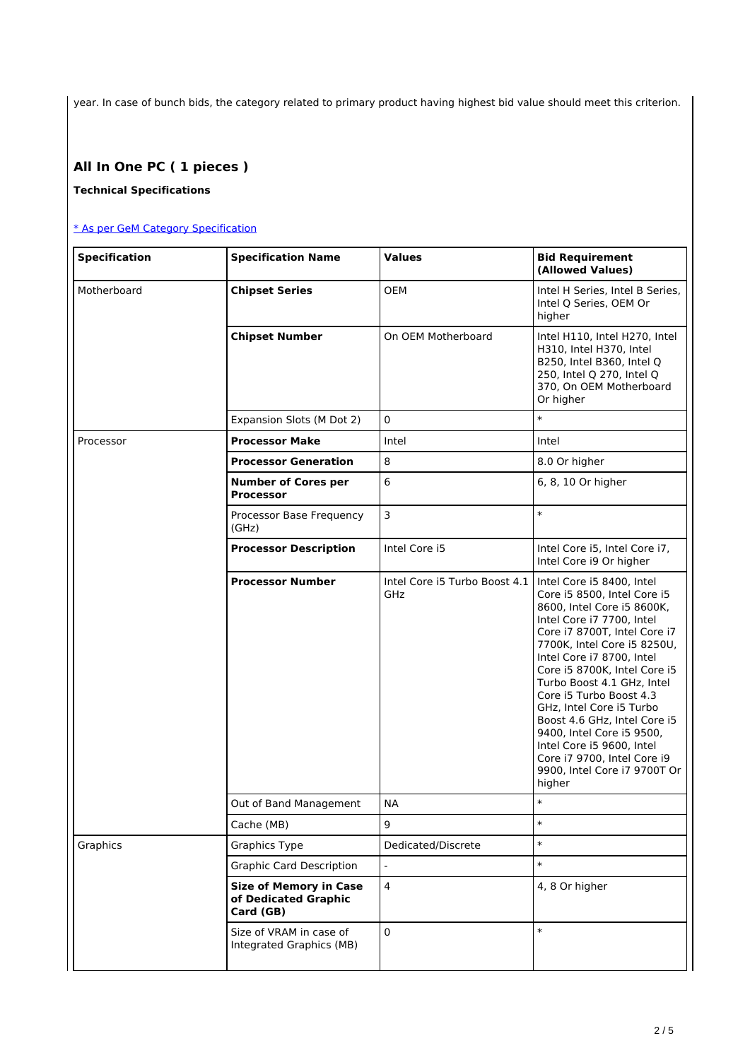year. In case of bunch bids, the category related to primary product having highest bid value should meet this criterion.

# **All In One PC ( 1 pieces )**

### **Technical Specifications**

### [\\* As per GeM Category Specification](https://bidplus.gem.gov.in/bidding/bid/showCatalogue/LwCV2lMVSo15_zgMOJKculIeZUjIXViYTiLjmQjQAW8)

| <b>Specification</b> | <b>Specification Name</b>                                          | <b>Values</b>                                                    | <b>Bid Requirement</b><br>(Allowed Values)                                                                                                                                                                                                                                                                                                                                                                                                                                 |
|----------------------|--------------------------------------------------------------------|------------------------------------------------------------------|----------------------------------------------------------------------------------------------------------------------------------------------------------------------------------------------------------------------------------------------------------------------------------------------------------------------------------------------------------------------------------------------------------------------------------------------------------------------------|
| Motherboard          | <b>Chipset Series</b>                                              | OEM                                                              | Intel H Series, Intel B Series,<br>Intel Q Series, OEM Or<br>higher                                                                                                                                                                                                                                                                                                                                                                                                        |
|                      | <b>Chipset Number</b>                                              | On OEM Motherboard                                               | Intel H110, Intel H270, Intel<br>H310, Intel H370, Intel<br>B250, Intel B360, Intel Q<br>250, Intel Q 270, Intel Q<br>370, On OEM Motherboard<br>Or higher                                                                                                                                                                                                                                                                                                                 |
|                      | Expansion Slots (M Dot 2)                                          | $\mathbf 0$                                                      | $\ast$                                                                                                                                                                                                                                                                                                                                                                                                                                                                     |
| Processor            | <b>Processor Make</b>                                              | Intel                                                            | Intel                                                                                                                                                                                                                                                                                                                                                                                                                                                                      |
|                      | <b>Processor Generation</b>                                        | 8                                                                | 8.0 Or higher                                                                                                                                                                                                                                                                                                                                                                                                                                                              |
|                      | <b>Number of Cores per</b><br><b>Processor</b>                     | 6                                                                | 6, 8, 10 Or higher                                                                                                                                                                                                                                                                                                                                                                                                                                                         |
|                      | Processor Base Frequency<br>(GHz)                                  | 3                                                                | $\ast$                                                                                                                                                                                                                                                                                                                                                                                                                                                                     |
|                      | <b>Processor Description</b>                                       | Intel Core i5                                                    | Intel Core i5, Intel Core i7,<br>Intel Core i9 Or higher                                                                                                                                                                                                                                                                                                                                                                                                                   |
|                      | <b>Processor Number</b>                                            | Intel Core i5 Turbo Boost 4.1   Intel Core i5 8400, Intel<br>GHz | Core i5 8500, Intel Core i5<br>8600, Intel Core i5 8600K,<br>Intel Core i7 7700, Intel<br>Core i7 8700T, Intel Core i7<br>7700K, Intel Core i5 8250U,<br>Intel Core i7 8700, Intel<br>Core i5 8700K, Intel Core i5<br>Turbo Boost 4.1 GHz, Intel<br>Core i5 Turbo Boost 4.3<br>GHz, Intel Core i5 Turbo<br>Boost 4.6 GHz, Intel Core i5<br>9400, Intel Core i5 9500,<br>Intel Core i5 9600, Intel<br>Core i7 9700, Intel Core i9<br>9900. Intel Core i7 9700T Or<br>higher |
|                      | Out of Band Management                                             | NА                                                               | $\ast$                                                                                                                                                                                                                                                                                                                                                                                                                                                                     |
|                      | Cache (MB)                                                         | 9                                                                | $\ast$                                                                                                                                                                                                                                                                                                                                                                                                                                                                     |
| Graphics             | <b>Graphics Type</b>                                               | Dedicated/Discrete                                               | $\ast$                                                                                                                                                                                                                                                                                                                                                                                                                                                                     |
|                      | <b>Graphic Card Description</b>                                    |                                                                  | $\ast$                                                                                                                                                                                                                                                                                                                                                                                                                                                                     |
|                      | <b>Size of Memory in Case</b><br>of Dedicated Graphic<br>Card (GB) | 4                                                                | 4, 8 Or higher                                                                                                                                                                                                                                                                                                                                                                                                                                                             |
|                      | Size of VRAM in case of<br>Integrated Graphics (MB)                | $\pmb{0}$                                                        | $\ast$                                                                                                                                                                                                                                                                                                                                                                                                                                                                     |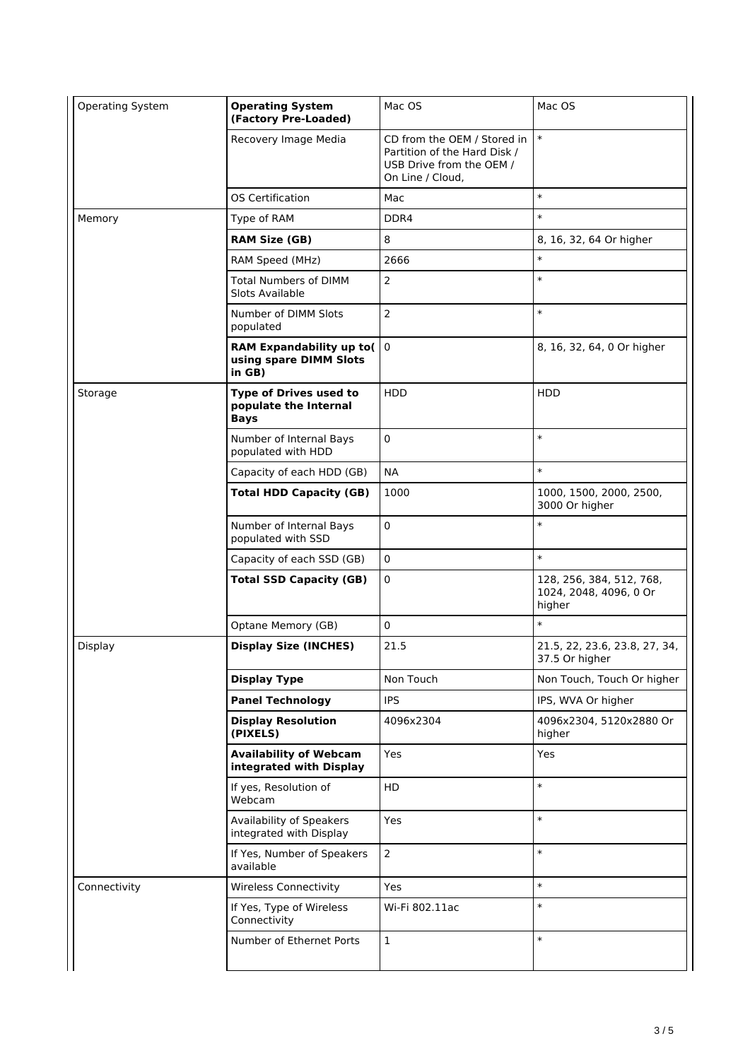| Operating System | <b>Operating System</b><br>(Factory Pre-Loaded)                       | Mac OS                                                                                                      | Mac OS                                                       |
|------------------|-----------------------------------------------------------------------|-------------------------------------------------------------------------------------------------------------|--------------------------------------------------------------|
|                  | Recovery Image Media                                                  | CD from the OEM / Stored in<br>Partition of the Hard Disk /<br>USB Drive from the OEM /<br>On Line / Cloud, | $\ast$                                                       |
|                  | <b>OS Certification</b>                                               | Mac                                                                                                         | $\ast$                                                       |
| Memory           | Type of RAM                                                           | DDR4                                                                                                        | $\ast$                                                       |
|                  | <b>RAM Size (GB)</b>                                                  | 8                                                                                                           | 8, 16, 32, 64 Or higher                                      |
|                  | RAM Speed (MHz)                                                       | 2666                                                                                                        | $\ast$                                                       |
|                  | <b>Total Numbers of DIMM</b><br>Slots Available                       | $\overline{2}$                                                                                              | $\ast$                                                       |
|                  | Number of DIMM Slots<br>populated                                     | 2                                                                                                           | $\ast$                                                       |
|                  | RAM Expandability up to(<br>using spare DIMM Slots<br>in GB)          | $\overline{0}$                                                                                              | 8, 16, 32, 64, 0 Or higher                                   |
| Storage          | <b>Type of Drives used to</b><br>populate the Internal<br><b>Bays</b> | HDD                                                                                                         | HDD                                                          |
|                  | Number of Internal Bays<br>populated with HDD                         | 0                                                                                                           | $\ast$                                                       |
|                  | Capacity of each HDD (GB)                                             | <b>NA</b>                                                                                                   | $\ast$                                                       |
|                  | <b>Total HDD Capacity (GB)</b>                                        | 1000                                                                                                        | 1000, 1500, 2000, 2500,<br>3000 Or higher                    |
|                  | Number of Internal Bays<br>populated with SSD                         | 0                                                                                                           | $\ast$                                                       |
|                  | Capacity of each SSD (GB)                                             | $\pmb{0}$                                                                                                   | $\ast$                                                       |
|                  | <b>Total SSD Capacity (GB)</b>                                        | 0                                                                                                           | 128, 256, 384, 512, 768,<br>1024, 2048, 4096, 0 Or<br>higher |
|                  | Optane Memory (GB)                                                    | $\mathbf 0$                                                                                                 | $\ast$                                                       |
| Display          | <b>Display Size (INCHES)</b>                                          | 21.5                                                                                                        | 21.5, 22, 23.6, 23.8, 27, 34,<br>37.5 Or higher              |
|                  | <b>Display Type</b>                                                   | Non Touch                                                                                                   | Non Touch, Touch Or higher                                   |
|                  | <b>Panel Technology</b>                                               | <b>IPS</b>                                                                                                  | IPS, WVA Or higher                                           |
|                  | <b>Display Resolution</b><br>(PIXELS)                                 | 4096x2304                                                                                                   | 4096x2304, 5120x2880 Or<br>higher                            |
|                  | <b>Availability of Webcam</b><br>integrated with Display              | Yes                                                                                                         | Yes                                                          |
|                  | If yes, Resolution of<br>Webcam                                       | HD                                                                                                          | $\ast$                                                       |
|                  | Availability of Speakers<br>integrated with Display                   | Yes                                                                                                         | $\ast$                                                       |
|                  | If Yes, Number of Speakers<br>available                               | $\overline{2}$                                                                                              | $\ast$                                                       |
| Connectivity     | <b>Wireless Connectivity</b>                                          | <b>Yes</b>                                                                                                  | $\ast$                                                       |
|                  | If Yes, Type of Wireless<br>Connectivity                              | Wi-Fi 802.11ac                                                                                              | $\ast$                                                       |
|                  | Number of Ethernet Ports                                              | $\mathbf 1$                                                                                                 | $\ast$                                                       |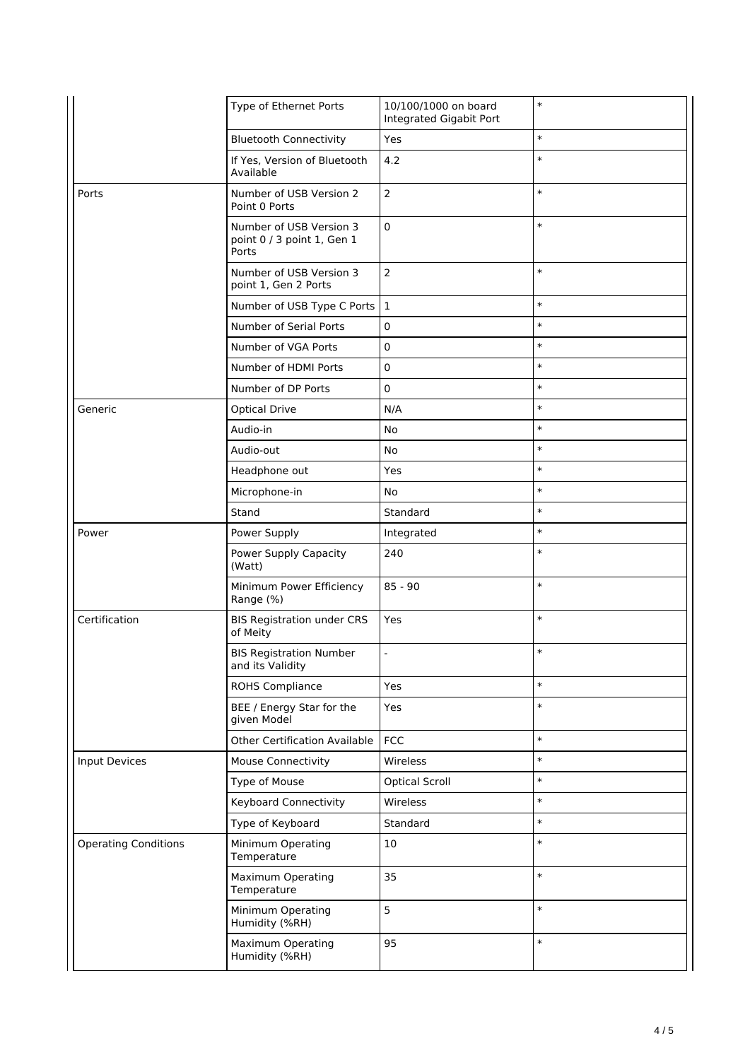|                             | Type of Ethernet Ports                                         | 10/100/1000 on board<br>Integrated Gigabit Port | $\ast$ |
|-----------------------------|----------------------------------------------------------------|-------------------------------------------------|--------|
|                             | <b>Bluetooth Connectivity</b>                                  | Yes                                             | $\ast$ |
|                             | If Yes, Version of Bluetooth<br>Available                      | 4.2                                             | $\ast$ |
| Ports                       | Number of USB Version 2<br>Point 0 Ports                       | $\overline{2}$                                  | $\ast$ |
|                             | Number of USB Version 3<br>point 0 / 3 point 1, Gen 1<br>Ports | $\pmb{0}$                                       | $\ast$ |
|                             | Number of USB Version 3<br>point 1, Gen 2 Ports                | $\overline{2}$                                  | $\ast$ |
|                             | Number of USB Type C Ports                                     | $\mathbf{1}$                                    | $\ast$ |
|                             | Number of Serial Ports                                         | 0                                               | $\ast$ |
|                             | Number of VGA Ports                                            | $\pmb{0}$                                       | $\ast$ |
|                             | Number of HDMI Ports                                           | $\pmb{0}$                                       | $\ast$ |
|                             | Number of DP Ports                                             | $\pmb{0}$                                       | $\ast$ |
| Generic                     | <b>Optical Drive</b>                                           | N/A                                             | $\ast$ |
|                             | Audio-in                                                       | No                                              | $\ast$ |
|                             | Audio-out                                                      | No                                              | $\ast$ |
|                             | Headphone out                                                  | Yes                                             | $\ast$ |
|                             | Microphone-in                                                  | No                                              | $\ast$ |
|                             | Stand                                                          | Standard                                        | $\ast$ |
| Power                       | Power Supply                                                   | Integrated                                      | $\ast$ |
|                             | Power Supply Capacity<br>(Watt)                                | 240                                             | $\ast$ |
|                             | Minimum Power Efficiency<br>Range (%)                          | $85 - 90$                                       | $\ast$ |
| Certification               | <b>BIS Registration under CRS</b><br>of Meity                  | Yes                                             | $\ast$ |
|                             | <b>BIS Registration Number</b><br>and its Validity             | $\overline{a}$                                  | $\ast$ |
|                             | <b>ROHS Compliance</b>                                         | Yes                                             | $\ast$ |
|                             | BEE / Energy Star for the<br>given Model                       | Yes                                             | $\ast$ |
|                             | <b>Other Certification Available</b>                           | <b>FCC</b>                                      | $\ast$ |
| <b>Input Devices</b>        | Mouse Connectivity                                             | Wireless                                        | $\ast$ |
|                             | Type of Mouse                                                  | <b>Optical Scroll</b>                           | $\ast$ |
|                             | <b>Keyboard Connectivity</b>                                   | Wireless                                        | $\ast$ |
|                             | Type of Keyboard                                               | Standard                                        | $\ast$ |
| <b>Operating Conditions</b> | Minimum Operating<br>Temperature                               | 10                                              | $\ast$ |
|                             | Maximum Operating<br>Temperature                               | 35                                              | $\ast$ |
|                             | Minimum Operating<br>Humidity (%RH)                            | 5                                               | $\ast$ |
|                             | Maximum Operating<br>Humidity (%RH)                            | 95                                              | $\ast$ |